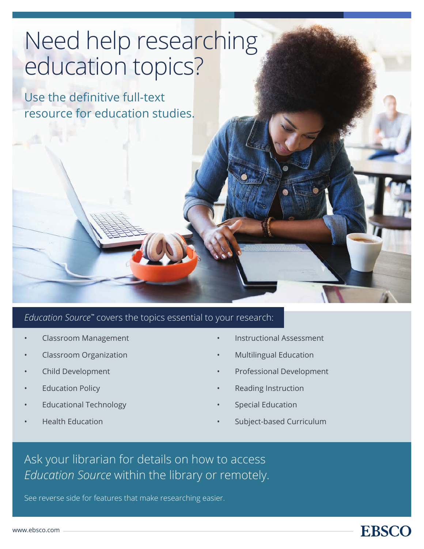# Need help researching education topics?

Use the definitive full-text resource for education studies.

### *Education Source™* covers the topics essential to your research:

- Classroom Management
- Classroom Organization
- Child Development
- **Education Policy**
- Educational Technology
- Health Education
- Instructional Assessment
- Multilingual Education
- Professional Development
- Reading Instruction
- Special Education
- Subject-based Curriculum

**EBSCO** 

## Ask your librarian for details on how to access *Education Source* within the library or remotely.

See reverse side for features that make researching easier.